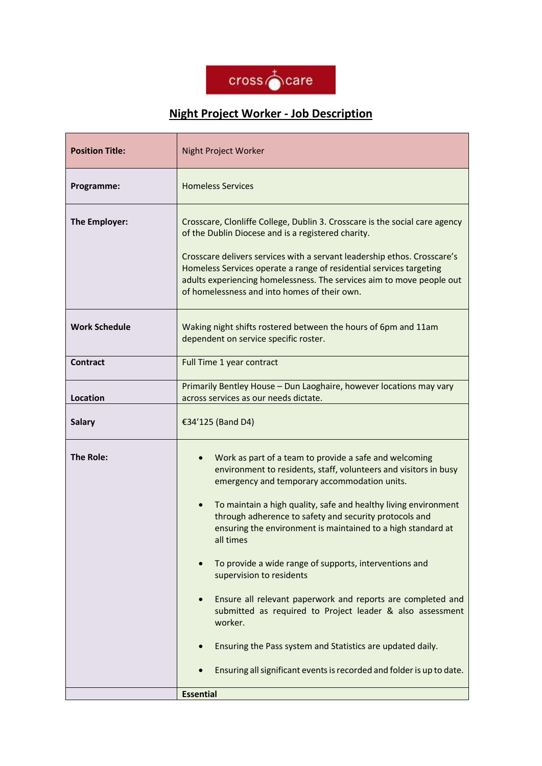

## **Night Project Worker - Job Description**

| <b>Position Title:</b> | <b>Night Project Worker</b>                                                                                                                                                                                                                                                                                                                                                                                                                                                                                                                                                                                                                                                                                                                                                  |
|------------------------|------------------------------------------------------------------------------------------------------------------------------------------------------------------------------------------------------------------------------------------------------------------------------------------------------------------------------------------------------------------------------------------------------------------------------------------------------------------------------------------------------------------------------------------------------------------------------------------------------------------------------------------------------------------------------------------------------------------------------------------------------------------------------|
| Programme:             | <b>Homeless Services</b>                                                                                                                                                                                                                                                                                                                                                                                                                                                                                                                                                                                                                                                                                                                                                     |
| The Employer:          | Crosscare, Clonliffe College, Dublin 3. Crosscare is the social care agency<br>of the Dublin Diocese and is a registered charity.<br>Crosscare delivers services with a servant leadership ethos. Crosscare's<br>Homeless Services operate a range of residential services targeting<br>adults experiencing homelessness. The services aim to move people out<br>of homelessness and into homes of their own.                                                                                                                                                                                                                                                                                                                                                                |
| <b>Work Schedule</b>   | Waking night shifts rostered between the hours of 6pm and 11am<br>dependent on service specific roster.                                                                                                                                                                                                                                                                                                                                                                                                                                                                                                                                                                                                                                                                      |
| <b>Contract</b>        | Full Time 1 year contract                                                                                                                                                                                                                                                                                                                                                                                                                                                                                                                                                                                                                                                                                                                                                    |
| <b>Location</b>        | Primarily Bentley House - Dun Laoghaire, however locations may vary<br>across services as our needs dictate.                                                                                                                                                                                                                                                                                                                                                                                                                                                                                                                                                                                                                                                                 |
| <b>Salary</b>          | €34'125 (Band D4)                                                                                                                                                                                                                                                                                                                                                                                                                                                                                                                                                                                                                                                                                                                                                            |
| <b>The Role:</b>       | Work as part of a team to provide a safe and welcoming<br>environment to residents, staff, volunteers and visitors in busy<br>emergency and temporary accommodation units.<br>To maintain a high quality, safe and healthy living environment<br>through adherence to safety and security protocols and<br>ensuring the environment is maintained to a high standard at<br>all times<br>To provide a wide range of supports, interventions and<br>supervision to residents<br>Ensure all relevant paperwork and reports are completed and<br>submitted as required to Project leader & also assessment<br>worker.<br>Ensuring the Pass system and Statistics are updated daily.<br>Ensuring all significant events is recorded and folder is up to date.<br><b>Essential</b> |